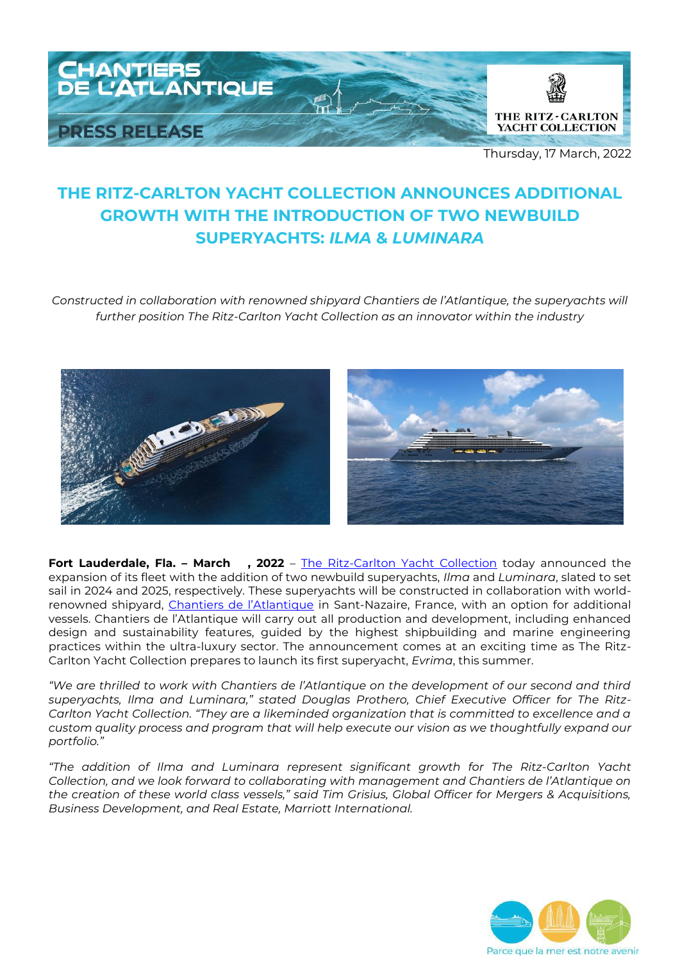

Thursday, 17 March, 2022

# **THE RITZ-CARLTON YACHT COLLECTION ANNOUNCES ADDITIONAL GROWTH WITH THE INTRODUCTION OF TWO NEWBUILD SUPERYACHTS:** *ILMA* **&** *LUMINARA*

*Constructed in collaboration with renowned shipyard Chantiers de l'Atlantique, the superyachts will further position The Ritz-Carlton Yacht Collection as an innovator within the industry*



**Fort Lauderdale, Fla. - March , 2022** – [The Ritz-Carlton Yacht Collection](https://www.ritzcarltonyachtcollection.com/) today announced the expansion of its fleet with the addition of two newbuild superyachts, *Ilma* and *Luminara*, slated to set sail in 2024 and 2025, respectively. These superyachts will be constructed in collaboration with world-renowned shipyard, [Chantiers de l'Atlantique](https://chantiers-atlantique.com/en/) in Sant-Nazaire, France, with an option for additional vessels. Chantiers de l'Atlantique will carry out all production and development, including enhanced design and sustainability features, guided by the highest shipbuilding and marine engineering practices within the ultra-luxury sector. The announcement comes at an exciting time as The Ritz-Carlton Yacht Collection prepares to launch its first superyacht, *Evrima*, this summer.

*"We are thrilled to work with Chantiers de l'Atlantique on the development of our second and third superyachts, Ilma and Luminara," stated Douglas Prothero, Chief Executive Officer for The Ritz-Carlton Yacht Collection. "They are a likeminded organization that is committed to excellence and a custom quality process and program that will help execute our vision as we thoughtfully expand our portfolio."* 

*"The addition of Ilma and Luminara represent significant growth for The Ritz-Carlton Yacht Collection, and we look forward to collaborating with management and Chantiers de l'Atlantique on the creation of these world class vessels," said Tim Grisius, Global Officer for Mergers & Acquisitions, Business Development, and Real Estate, Marriott International.* 

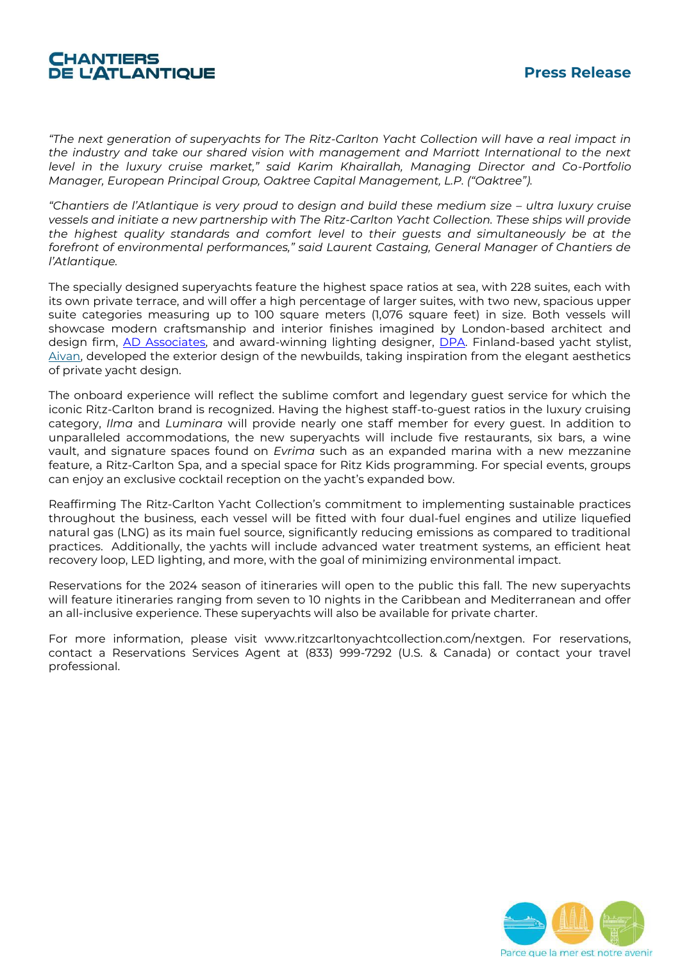## **CHANTIERS** *DE L'ATLANTIQUE*

*"The next generation of superyachts for The Ritz-Carlton Yacht Collection will have a real impact in the industry and take our shared vision with management and Marriott International to the next level in the luxury cruise market," said Karim Khairallah, Managing Director and Co-Portfolio Manager, European Principal Group, Oaktree Capital Management, L.P. ("Oaktree").*

*"Chantiers de l'Atlantique is very proud to design and build these medium size – ultra luxury cruise vessels and initiate a new partnership with The Ritz-Carlton Yacht Collection. These ships will provide the highest quality standards and comfort level to their guests and simultaneously be at the forefront of environmental performances," said Laurent Castaing, General Manager of Chantiers de l'Atlantique.* 

The specially designed superyachts feature the highest space ratios at sea, with 228 suites, each with its own private terrace, and will offer a high percentage of larger suites, with two new, spacious upper suite categories measuring up to 100 square meters (1,076 square feet) in size. Both vessels will showcase modern craftsmanship and interior finishes imagined by London-based architect and design firm, [AD Associates,](https://www.adassociates.london/) and award-winning lighting designer, [DPA.](https://www.dpalighting.com/) Finland-based yacht stylist, [Aivan,](https://www.aivan.fi/) developed the exterior design of the newbuilds, taking inspiration from the elegant aesthetics of private yacht design.

The onboard experience will reflect the sublime comfort and legendary guest service for which the iconic Ritz-Carlton brand is recognized. Having the highest staff-to-guest ratios in the luxury cruising category, *Ilma* and *Luminara* will provide nearly one staff member for every guest. In addition to unparalleled accommodations, the new superyachts will include five restaurants, six bars, a wine vault, and signature spaces found on *Evrima* such as an expanded marina with a new mezzanine feature, a Ritz-Carlton Spa, and a special space for Ritz Kids programming. For special events, groups can enjoy an exclusive cocktail reception on the yacht's expanded bow.

Reaffirming The Ritz-Carlton Yacht Collection's commitment to implementing sustainable practices throughout the business, each vessel will be fitted with four dual-fuel engines and utilize liquefied natural gas (LNG) as its main fuel source, significantly reducing emissions as compared to traditional practices. Additionally, the yachts will include advanced water treatment systems, an efficient heat recovery loop, LED lighting, and more, with the goal of minimizing environmental impact.

Reservations for the 2024 season of itineraries will open to the public this fall. The new superyachts will feature itineraries ranging from seven to 10 nights in the Caribbean and Mediterranean and offer an all-inclusive experience. These superyachts will also be available for private charter.

For more information, please visit www.ritzcarltonyachtcollection.com/nextgen. For reservations, contact a Reservations Services Agent at (833) 999-7292 (U.S. & Canada) or contact your travel professional.